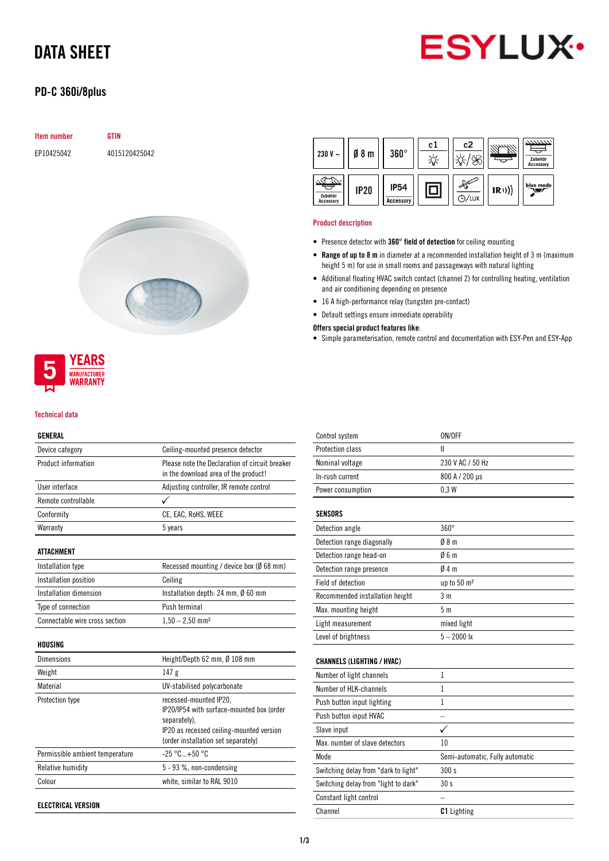# DATA SHEET



## PD-C 360i/8plus

| <b>Item number</b> | <b>GTIN</b>    |
|--------------------|----------------|
| EP10425042         | 4015120425042  |
|                    |                |
|                    |                |
|                    |                |
|                    | <b>COMPANY</b> |



#### Product description

- Presence detector with 360° field of detection for ceiling mounting
- Range of up to 8 m in diameter at a recommended installation height of 3 m (maximum height 5 m) for use in small rooms and passageways with natural lighting
- Additional floating HVAC switch contact (channel 2) for controlling heating, ventilation and air conditioning depending on presence
- 16 A high-performance relay (tungsten pre-contact)
- Default settings ensure immediate operability

Offers special product features like:

• Simple parameterisation, remote control and documentation with ESY-Pen and ESY-App



#### Technical data

#### GENERAL

| Device category                | Ceiling-mounted presence detector                                                      |
|--------------------------------|----------------------------------------------------------------------------------------|
| Product information            | Please note the Declaration of circuit breaker<br>in the download area of the product! |
| User interface                 | Adjusting controller, IR remote control                                                |
| Remote controllable            |                                                                                        |
| Conformity                     | CE, EAC, RoHS, WEEE                                                                    |
| Warranty                       | 5 years                                                                                |
| ATTACHMENT                     |                                                                                        |
| Installation type              | Recessed mounting / device box (Ø 68 mm)                                               |
| Installation position          | Ceiling                                                                                |
| Installation dimension         | Installation depth: 24 mm, $\emptyset$ 60 mm                                           |
| Type of connection             | Push terminal                                                                          |
| Connectable wire cross section | $1,50 - 2,50$ mm <sup>2</sup>                                                          |
| 1101101110                     |                                                                                        |

#### HOUSING

| <b>Dimensions</b>               | Height/Depth 62 mm, Ø 108 mm                                                                                                                                           |
|---------------------------------|------------------------------------------------------------------------------------------------------------------------------------------------------------------------|
| Weight                          | 147g                                                                                                                                                                   |
| Material                        | UV-stabilised polycarbonate                                                                                                                                            |
| Protection type                 | recessed-mounted IP20,<br>IP20/IP54 with surface-mounted box (order<br>separately).<br>IP20 as recessed ceiling-mounted version<br>(order installation set separately) |
| Permissible ambient temperature | $-25 °C+50 °C$                                                                                                                                                         |
| Relative humidity               | $5 - 93$ %, non-condensing                                                                                                                                             |
| Colour                          | white, similar to RAL 9010                                                                                                                                             |

ELECTRICAL VERSION

| Control system                       | ON/OFF                          |
|--------------------------------------|---------------------------------|
| Protection class                     | Ш                               |
| Nominal voltage                      | 230 V AC / 50 Hz                |
| In-rush current                      | 800 A / 200 µs                  |
| Power consumption                    | 0.3W                            |
| <b>SENSORS</b>                       |                                 |
| Detection angle                      | $360^\circ$                     |
| Detection range diagonally           | 08 <sub>m</sub>                 |
| Detection range head-on              | 06m                             |
| Detection range presence             | 04m                             |
| Field of detection                   | up to 50 m <sup>2</sup>         |
| Recommended installation height      | 3 <sub>m</sub>                  |
|                                      |                                 |
| Max. mounting height                 | 5 <sub>m</sub>                  |
| Light measurement                    | mixed light                     |
| Level of brightness                  | $5 - 2000$ lx                   |
| <b>CHANNELS (LIGHTING / HVAC)</b>    |                                 |
|                                      |                                 |
| Number of light channels             | $\mathbf{1}$                    |
| Number of HLK-channels               | 1                               |
| Push button input lighting           | 1                               |
| Push button input HVAC               |                                 |
| Slave input                          | $\checkmark$                    |
| Max, number of slave detectors       | 10                              |
| <b>Mode</b>                          | Semi-automatic, Fully automatic |
| Switching delay from "dark to light" | 300s                            |
| Switching delay from "light to dark" | 30 <sub>s</sub>                 |
| Constant light control               |                                 |
| Channel                              | <b>C1</b> Lighting              |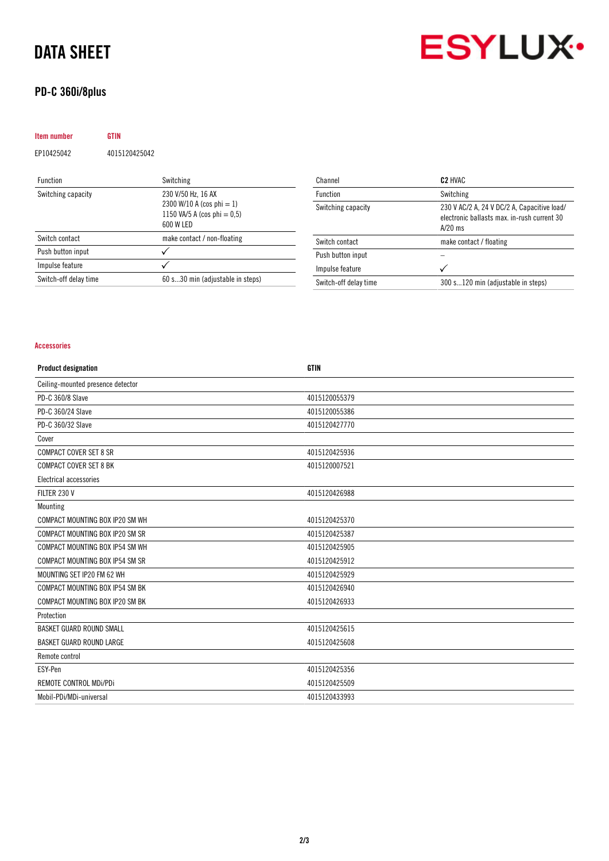# DATA SHEET

## PD-C 360i/8plus



| <b>Item number</b>    | <b>GTIN</b>   |                                                                                                |
|-----------------------|---------------|------------------------------------------------------------------------------------------------|
| EP10425042            | 4015120425042 |                                                                                                |
| <b>Function</b>       |               | Switching                                                                                      |
| Switching capacity    |               | 230 V/50 Hz, 16 AX<br>2300 W/10 A (cos phi = 1)<br>1150 VA/5 A (cos phi = $0.5$ )<br>600 W LED |
| Switch contact        |               | make contact / non-floating                                                                    |
| Push button input     |               |                                                                                                |
| Impulse feature       |               |                                                                                                |
| Switch-off delay time |               | 60 s30 min (adjustable in steps)                                                               |

| Channel               | C <sub>2</sub> HVAC                                                                                     |
|-----------------------|---------------------------------------------------------------------------------------------------------|
| Function              | Switching                                                                                               |
| Switching capacity    | 230 V AC/2 A, 24 V DC/2 A, Capacitive load/<br>electronic ballasts max. in-rush current 30<br>$A/20$ ms |
| Switch contact        | make contact / floating                                                                                 |
| Push button input     |                                                                                                         |
| Impulse feature       |                                                                                                         |
| Switch-off delay time | 300 s120 min (adjustable in steps)                                                                      |

### Accessories

| <b>Product designation</b>        | <b>GTIN</b>   |
|-----------------------------------|---------------|
| Ceiling-mounted presence detector |               |
| PD-C 360/8 Slave                  | 4015120055379 |
| PD-C 360/24 Slave                 | 4015120055386 |
| PD-C 360/32 Slave                 | 4015120427770 |
| Cover                             |               |
| <b>COMPACT COVER SET 8 SR</b>     | 4015120425936 |
| <b>COMPACT COVER SET 8 BK</b>     | 4015120007521 |
| Electrical accessories            |               |
| FILTER 230 V                      | 4015120426988 |
| Mounting                          |               |
| COMPACT MOUNTING BOX IP20 SM WH   | 4015120425370 |
| COMPACT MOUNTING BOX IP20 SM SR   | 4015120425387 |
| COMPACT MOUNTING BOX IP54 SM WH   | 4015120425905 |
| COMPACT MOUNTING BOX IP54 SM SR   | 4015120425912 |
| MOUNTING SET IP20 FM 62 WH        | 4015120425929 |
| COMPACT MOUNTING BOX IP54 SM BK   | 4015120426940 |
| COMPACT MOUNTING BOX IP20 SM BK   | 4015120426933 |
| Protection                        |               |
| BASKET GUARD ROUND SMALL          | 4015120425615 |
| <b>BASKET GUARD ROUND LARGE</b>   | 4015120425608 |
| Remote control                    |               |
| ESY-Pen                           | 4015120425356 |
| REMOTE CONTROL MDi/PDi            | 4015120425509 |
| Mobil-PDi/MDi-universal           | 4015120433993 |